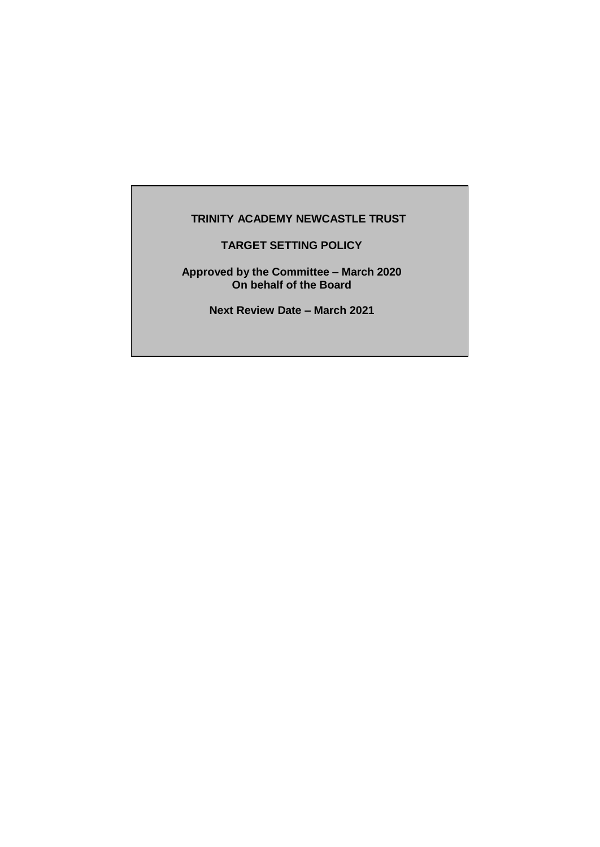# **TRINITY ACADEMY NEWCASTLE TRUST**

**TARGET SETTING POLICY**

**Approved by the Committee – March 2020 On behalf of the Board**

**Next Review Date – March 2021**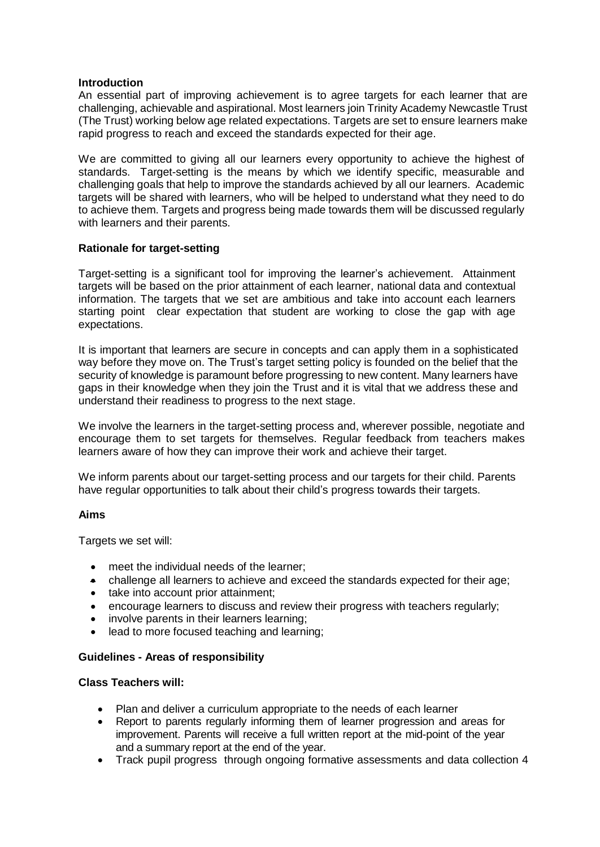## **Introduction**

An essential part of improving achievement is to agree targets for each learner that are challenging, achievable and aspirational. Most learners join Trinity Academy Newcastle Trust (The Trust) working below age related expectations. Targets are set to ensure learners make rapid progress to reach and exceed the standards expected for their age.

We are committed to giving all our learners every opportunity to achieve the highest of standards. Target-setting is the means by which we identify specific, measurable and challenging goals that help to improve the standards achieved by all our learners. Academic targets will be shared with learners, who will be helped to understand what they need to do to achieve them. Targets and progress being made towards them will be discussed regularly with learners and their parents.

### **Rationale for target-setting**

Target-setting is a significant tool for improving the learner's achievement. Attainment targets will be based on the prior attainment of each learner, national data and contextual information. The targets that we set are ambitious and take into account each learners starting point clear expectation that student are working to close the gap with age expectations.

It is important that learners are secure in concepts and can apply them in a sophisticated way before they move on. The Trust's target setting policy is founded on the belief that the security of knowledge is paramount before progressing to new content. Many learners have gaps in their knowledge when they join the Trust and it is vital that we address these and understand their readiness to progress to the next stage.

We involve the learners in the target-setting process and, wherever possible, negotiate and encourage them to set targets for themselves. Regular feedback from teachers makes learners aware of how they can improve their work and achieve their target.

We inform parents about our target-setting process and our targets for their child. Parents have regular opportunities to talk about their child's progress towards their targets.

#### **Aims**

Targets we set will:

- meet the individual needs of the learner;
- challenge all learners to achieve and exceed the standards expected for their age;
- take into account prior attainment;
- encourage learners to discuss and review their progress with teachers regularly;
- involve parents in their learners learning;
- lead to more focused teaching and learning;

# **Guidelines - Areas of responsibility**

### **Class Teachers will:**

- Plan and deliver a curriculum appropriate to the needs of each learner
- Report to parents regularly informing them of learner progression and areas for improvement. Parents will receive a full written report at the mid-point of the year and a summary report at the end of the year.
- Track pupil progress through ongoing formative assessments and data collection 4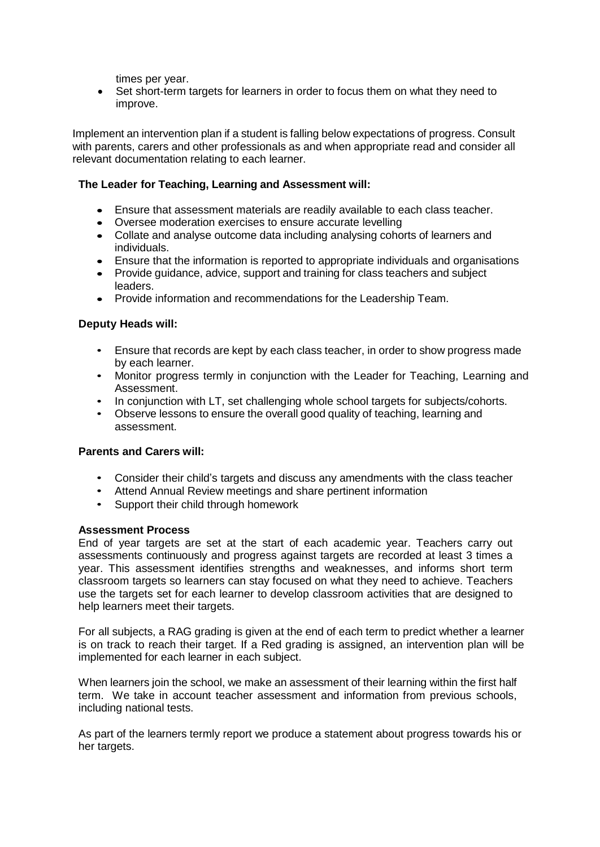times per year.

 Set short-term targets for learners in order to focus them on what they need to improve.

Implement an intervention plan if a student is falling below expectations of progress. Consult with parents, carers and other professionals as and when appropriate read and consider all relevant documentation relating to each learner.

# **The Leader for Teaching, Learning and Assessment will:**

- Ensure that assessment materials are readily available to each class teacher.
- Oversee moderation exercises to ensure accurate levelling
- Collate and analyse outcome data including analysing cohorts of learners and individuals.
- Ensure that the information is reported to appropriate individuals and organisations
- Provide guidance, advice, support and training for class teachers and subject leaders.
- Provide information and recommendations for the Leadership Team.

# **Deputy Heads will:**

- Ensure that records are kept by each class teacher, in order to show progress made by each learner.
- Monitor progress termly in conjunction with the Leader for Teaching, Learning and Assessment.
- In conjunction with LT, set challenging whole school targets for subjects/cohorts.
- Observe lessons to ensure the overall good quality of teaching, learning and assessment.

# **Parents and Carers will:**

- Consider their child's targets and discuss any amendments with the class teacher
- Attend Annual Review meetings and share pertinent information
- Support their child through homework

# **Assessment Process**

End of year targets are set at the start of each academic year. Teachers carry out assessments continuously and progress against targets are recorded at least 3 times a year. This assessment identifies strengths and weaknesses, and informs short term classroom targets so learners can stay focused on what they need to achieve. Teachers use the targets set for each learner to develop classroom activities that are designed to help learners meet their targets.

For all subjects, a RAG grading is given at the end of each term to predict whether a learner is on track to reach their target. If a Red grading is assigned, an intervention plan will be implemented for each learner in each subject.

When learners join the school, we make an assessment of their learning within the first half term. We take in account teacher assessment and information from previous schools, including national tests.

As part of the learners termly report we produce a statement about progress towards his or her targets.